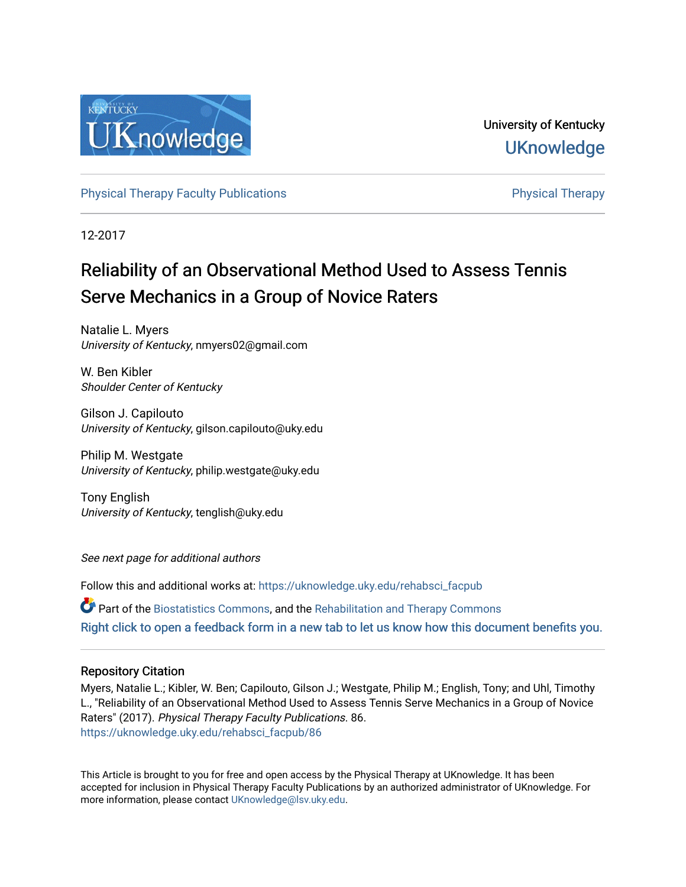

University of Kentucky **UKnowledge** 

[Physical Therapy Faculty Publications](https://uknowledge.uky.edu/rehabsci_facpub) **Physical Therapy** Physical Therapy

12-2017

# Reliability of an Observational Method Used to Assess Tennis Serve Mechanics in a Group of Novice Raters

Natalie L. Myers University of Kentucky, nmyers02@gmail.com

W. Ben Kibler Shoulder Center of Kentucky

Gilson J. Capilouto University of Kentucky, gilson.capilouto@uky.edu

Philip M. Westgate University of Kentucky, philip.westgate@uky.edu

Tony English University of Kentucky, tenglish@uky.edu

See next page for additional authors

Follow this and additional works at: [https://uknowledge.uky.edu/rehabsci\\_facpub](https://uknowledge.uky.edu/rehabsci_facpub?utm_source=uknowledge.uky.edu%2Frehabsci_facpub%2F86&utm_medium=PDF&utm_campaign=PDFCoverPages) 

Part of the [Biostatistics Commons,](http://network.bepress.com/hgg/discipline/210?utm_source=uknowledge.uky.edu%2Frehabsci_facpub%2F86&utm_medium=PDF&utm_campaign=PDFCoverPages) and the [Rehabilitation and Therapy Commons](http://network.bepress.com/hgg/discipline/749?utm_source=uknowledge.uky.edu%2Frehabsci_facpub%2F86&utm_medium=PDF&utm_campaign=PDFCoverPages)  [Right click to open a feedback form in a new tab to let us know how this document benefits you.](https://uky.az1.qualtrics.com/jfe/form/SV_9mq8fx2GnONRfz7)

# Repository Citation

Myers, Natalie L.; Kibler, W. Ben; Capilouto, Gilson J.; Westgate, Philip M.; English, Tony; and Uhl, Timothy L., "Reliability of an Observational Method Used to Assess Tennis Serve Mechanics in a Group of Novice Raters" (2017). Physical Therapy Faculty Publications. 86. [https://uknowledge.uky.edu/rehabsci\\_facpub/86](https://uknowledge.uky.edu/rehabsci_facpub/86?utm_source=uknowledge.uky.edu%2Frehabsci_facpub%2F86&utm_medium=PDF&utm_campaign=PDFCoverPages)

This Article is brought to you for free and open access by the Physical Therapy at UKnowledge. It has been accepted for inclusion in Physical Therapy Faculty Publications by an authorized administrator of UKnowledge. For more information, please contact [UKnowledge@lsv.uky.edu](mailto:UKnowledge@lsv.uky.edu).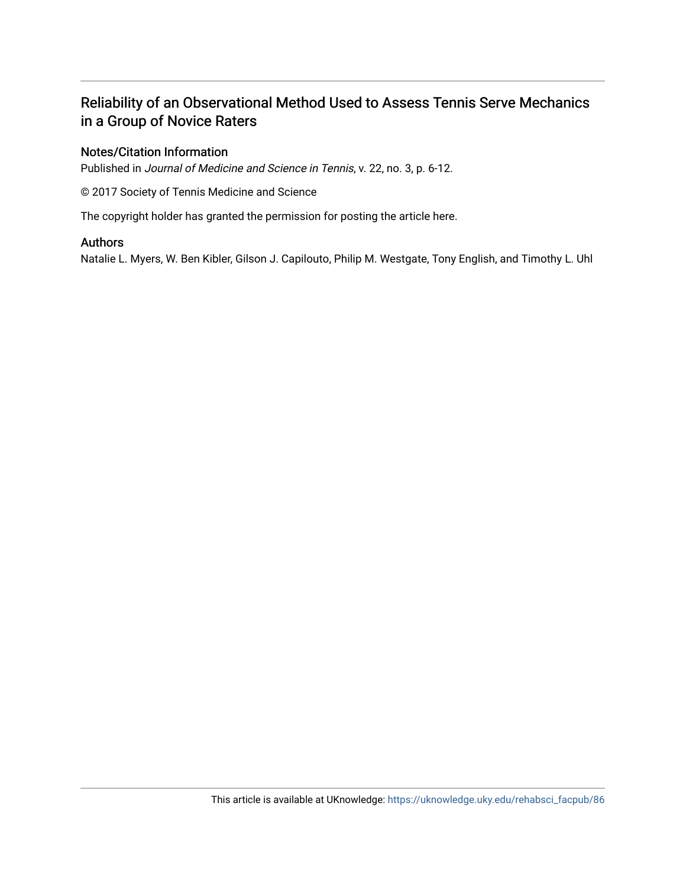# Reliability of an Observational Method Used to Assess Tennis Serve Mechanics in a Group of Novice Raters

# Notes/Citation Information

Published in Journal of Medicine and Science in Tennis, v. 22, no. 3, p. 6-12.

© 2017 Society of Tennis Medicine and Science

The copyright holder has granted the permission for posting the article here.

## Authors

Natalie L. Myers, W. Ben Kibler, Gilson J. Capilouto, Philip M. Westgate, Tony English, and Timothy L. Uhl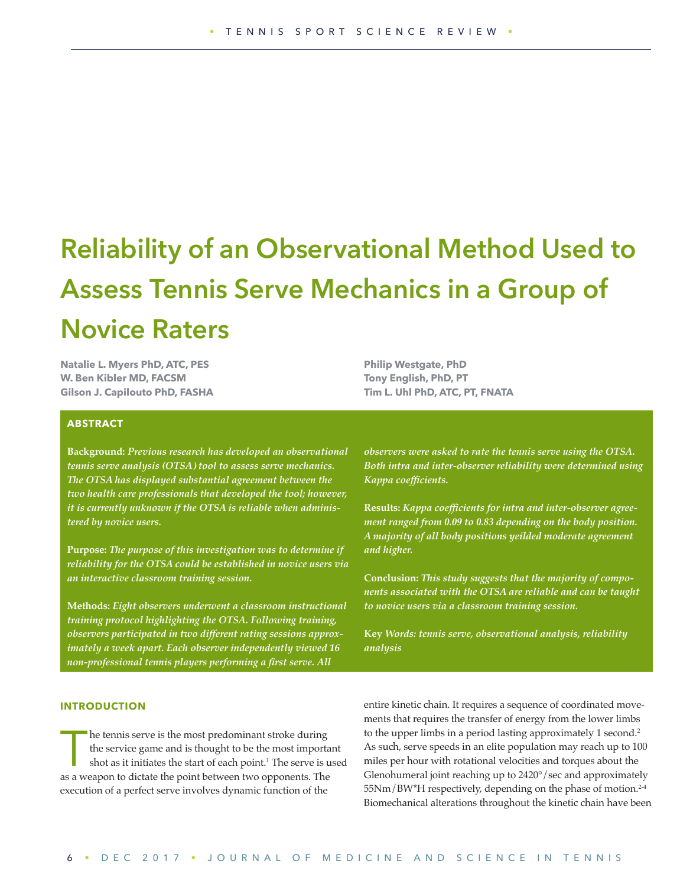# **Reliability of an Observational Method Used to Assess Tennis Serve Mechanics in a Group of Novice Raters**

**Natalie L. Myers PhD, ATC, PES W. Ben Kibler MD, FACSM Gilson J. Capilouto PhD, FASHA**

# **Philip Westgate, PhD Tony English, PhD, PT Tim L. Uhl PhD, ATC, PT, FNATA**

#### **ABSTRACT**

**Background:** *Previous research has developed an observational tennis serve analysis (OTSA) tool to assess serve mechanics. The OTSA has displayed substantial agreement between the two health care professionals that developed the tool; however, it is currently unknown if the OTSA is reliable when administered by novice users.*

**Purpose:** *The purpose of this investigation was to determine if reliability for the OTSA could be established in novice users via an interactive classroom training session.*

**Methods:** *Eight observers underwent a classroom instructional training protocol highlighting the OTSA. Following training, observers participated in two different rating sessions approximately a week apart. Each observer independently viewed 16 non-professional tennis players performing a first serve. All* 

*observers were asked to rate the tennis serve using the OTSA. Both intra and inter-observer reliability were determined using Kappa coefficients.* 

**Results:** *Kappa coefficients for intra and inter-observer agreement ranged from 0.09 to 0.83 depending on the body position. A majority of all body positions yeilded moderate agreement and higher.* 

**Conclusion:** *This study suggests that the majority of components associated with the OTSA are reliable and can be taught to novice users via a classroom training session.* 

**Key** *Words: tennis serve, observational analysis, reliability analysis*

#### **INTRODUCTION**

he tennis serve is the most predominant stroke during the service game and is thought to be the most important shot as it initiates the start of each point.<sup>1</sup> The serve is used as a weapon to dictate the point between two opponents. The execution of a perfect serve involves dynamic function of the

entire kinetic chain. It requires a sequence of coordinated movements that requires the transfer of energy from the lower limbs to the upper limbs in a period lasting approximately 1 second.<sup>2</sup> As such, serve speeds in an elite population may reach up to 100 miles per hour with rotational velocities and torques about the Glenohumeral joint reaching up to 2420°/sec and approximately 55Nm/BW\*H respectively, depending on the phase of motion.<sup>2-4</sup> Biomechanical alterations throughout the kinetic chain have been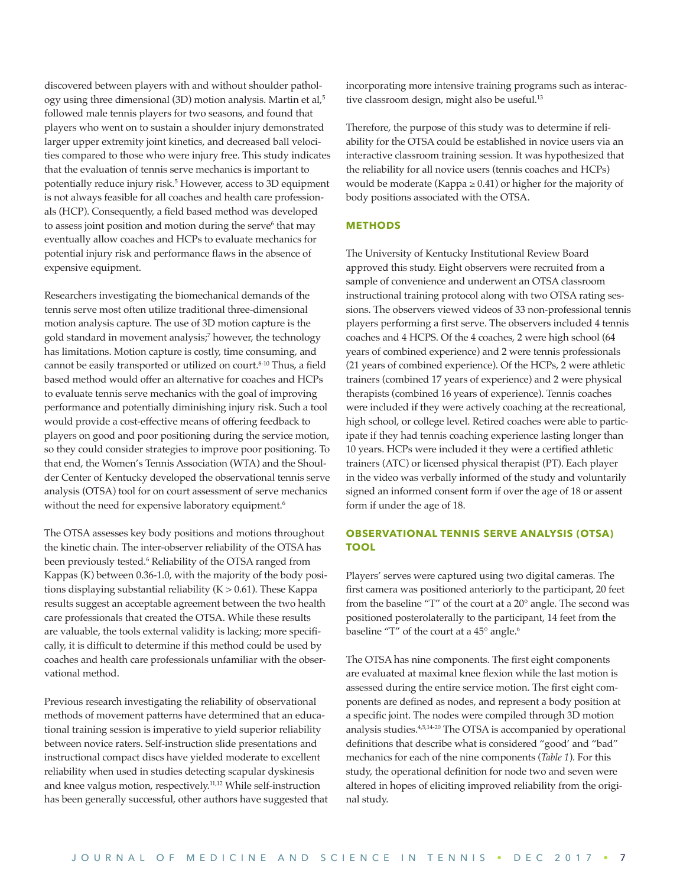discovered between players with and without shoulder pathology using three dimensional (3D) motion analysis. Martin et al,<sup>5</sup> followed male tennis players for two seasons, and found that players who went on to sustain a shoulder injury demonstrated larger upper extremity joint kinetics, and decreased ball velocities compared to those who were injury free. This study indicates that the evaluation of tennis serve mechanics is important to potentially reduce injury risk.5 However, access to 3D equipment is not always feasible for all coaches and health care professionals (HCP). Consequently, a field based method was developed to assess joint position and motion during the serve<sup>6</sup> that may eventually allow coaches and HCPs to evaluate mechanics for potential injury risk and performance flaws in the absence of expensive equipment.

Researchers investigating the biomechanical demands of the tennis serve most often utilize traditional three-dimensional motion analysis capture. The use of 3D motion capture is the gold standard in movement analysis;7 however, the technology has limitations. Motion capture is costly, time consuming, and cannot be easily transported or utilized on court.<sup>8-10</sup> Thus, a field based method would offer an alternative for coaches and HCPs to evaluate tennis serve mechanics with the goal of improving performance and potentially diminishing injury risk. Such a tool would provide a cost-effective means of offering feedback to players on good and poor positioning during the service motion, so they could consider strategies to improve poor positioning. To that end, the Women's Tennis Association (WTA) and the Shoulder Center of Kentucky developed the observational tennis serve analysis (OTSA) tool for on court assessment of serve mechanics without the need for expensive laboratory equipment.<sup>6</sup>

The OTSA assesses key body positions and motions throughout the kinetic chain. The inter-observer reliability of the OTSA has been previously tested.6 Reliability of the OTSA ranged from Kappas (K) between 0.36-1.0, with the majority of the body positions displaying substantial reliability ( $K > 0.61$ ). These Kappa results suggest an acceptable agreement between the two health care professionals that created the OTSA. While these results are valuable, the tools external validity is lacking; more specifically, it is difficult to determine if this method could be used by coaches and health care professionals unfamiliar with the observational method.

Previous research investigating the reliability of observational methods of movement patterns have determined that an educational training session is imperative to yield superior reliability between novice raters. Self-instruction slide presentations and instructional compact discs have yielded moderate to excellent reliability when used in studies detecting scapular dyskinesis and knee valgus motion, respectively.11,12 While self-instruction has been generally successful, other authors have suggested that incorporating more intensive training programs such as interactive classroom design, might also be useful.<sup>13</sup>

Therefore, the purpose of this study was to determine if reliability for the OTSA could be established in novice users via an interactive classroom training session. It was hypothesized that the reliability for all novice users (tennis coaches and HCPs) would be moderate (Kappa ≥ 0.41) or higher for the majority of body positions associated with the OTSA.

#### **METHODS**

The University of Kentucky Institutional Review Board approved this study. Eight observers were recruited from a sample of convenience and underwent an OTSA classroom instructional training protocol along with two OTSA rating sessions. The observers viewed videos of 33 non-professional tennis players performing a first serve. The observers included 4 tennis coaches and 4 HCPS. Of the 4 coaches, 2 were high school (64 years of combined experience) and 2 were tennis professionals (21 years of combined experience). Of the HCPs, 2 were athletic trainers (combined 17 years of experience) and 2 were physical therapists (combined 16 years of experience). Tennis coaches were included if they were actively coaching at the recreational, high school, or college level. Retired coaches were able to participate if they had tennis coaching experience lasting longer than 10 years. HCPs were included it they were a certified athletic trainers (ATC) or licensed physical therapist (PT). Each player in the video was verbally informed of the study and voluntarily signed an informed consent form if over the age of 18 or assent form if under the age of 18.

#### **OBSERVATIONAL TENNIS SERVE ANALYSIS (OTSA) TOOL**

Players' serves were captured using two digital cameras. The first camera was positioned anteriorly to the participant, 20 feet from the baseline "T" of the court at a 20° angle. The second was positioned posterolaterally to the participant, 14 feet from the baseline "T" of the court at a 45° angle.<sup>6</sup>

The OTSA has nine components. The first eight components are evaluated at maximal knee flexion while the last motion is assessed during the entire service motion. The first eight components are defined as nodes, and represent a body position at a specific joint. The nodes were compiled through 3D motion analysis studies.<sup>4,5,14-20</sup> The OTSA is accompanied by operational definitions that describe what is considered "good' and "bad" mechanics for each of the nine components (*Table 1*). For this study, the operational definition for node two and seven were altered in hopes of eliciting improved reliability from the original study.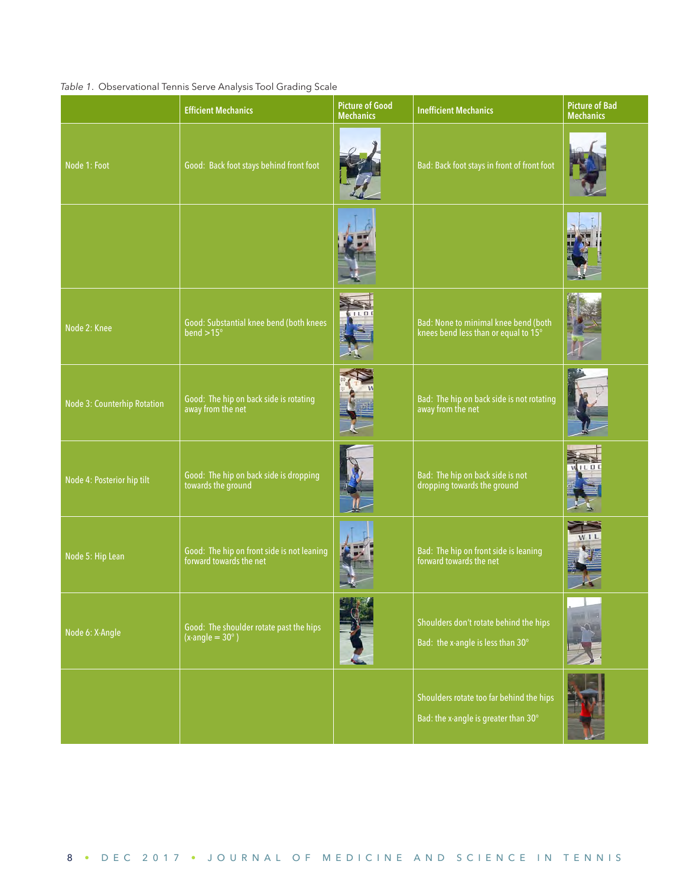### *Table 1*. Observational Tennis Serve Analysis Tool Grading Scale

|                             | <b>Efficient Mechanics</b>                                                       | <b>Picture of Good</b><br><b>Mechanics</b> | <b>Inefficient Mechanics</b>                                                     | <b>Picture of Bad</b><br><b>Mechanics</b> |
|-----------------------------|----------------------------------------------------------------------------------|--------------------------------------------|----------------------------------------------------------------------------------|-------------------------------------------|
| Node 1: Foot                | Good: Back foot stays behind front foot                                          |                                            | Bad: Back foot stays in front of front foot                                      |                                           |
|                             |                                                                                  |                                            |                                                                                  |                                           |
| Node 2: Knee                | Good: Substantial knee bend (both knees<br>bend $>15^\circ$                      |                                            | Bad: None to minimal knee bend (both<br>knees bend less than or equal to 15°     |                                           |
| Node 3: Counterhip Rotation | Good: The hip on back side is rotating<br>away from the net                      |                                            | Bad: The hip on back side is not rotating<br>away from the net                   |                                           |
| Node 4: Posterior hip tilt  | Good: The hip on back side is dropping<br>towards the ground                     |                                            | Bad: The hip on back side is not<br>dropping towards the ground                  |                                           |
| Node 5: Hip Lean            | Good: The hip on front side is not leaning<br>forward towards the net            |                                            | Bad: The hip on front side is leaning<br>forward towards the net                 |                                           |
| Node 6: X-Angle             | Good: The shoulder rotate past the hips<br>$\sqrt{(x\text{-angle}} = 30^\circ$ ) |                                            | Shoulders don't rotate behind the hips<br>Bad: the x-angle is less than 30°      |                                           |
|                             |                                                                                  |                                            | Shoulders rotate too far behind the hips<br>Bad: the x-angle is greater than 30° |                                           |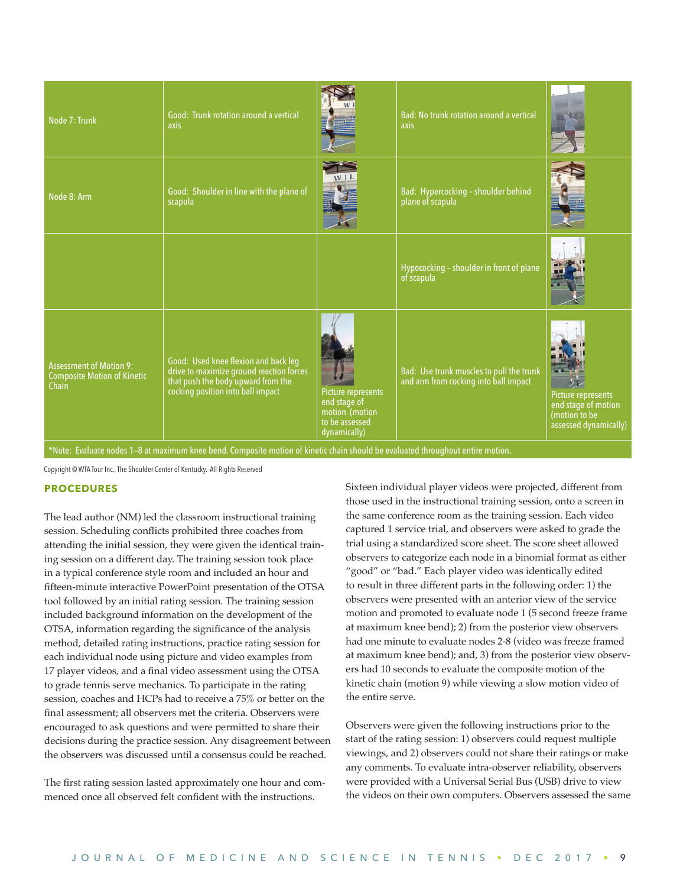| Node 7: Trunk                                                                 | Good: Trunk rotation around a vertical<br>axis                                                                                                              |                                                                                        | Bad: No trunk rotation around a vertical<br>axis                                  |                                                                                     |
|-------------------------------------------------------------------------------|-------------------------------------------------------------------------------------------------------------------------------------------------------------|----------------------------------------------------------------------------------------|-----------------------------------------------------------------------------------|-------------------------------------------------------------------------------------|
| Node 8: Arm                                                                   | Good: Shoulder in line with the plane of<br>scapula                                                                                                         | W <sub>1</sub>                                                                         | Bad: Hypercocking - shoulder behind<br>plane of scapula                           |                                                                                     |
|                                                                               |                                                                                                                                                             |                                                                                        | Hypococking - shoulder in front of plane<br>of scapula                            |                                                                                     |
| <b>Assessment of Motion 9:</b><br><b>Composite Motion of Kinetic</b><br>Chain | Good: Used knee flexion and back leg<br>drive to maximize ground reaction forces<br>that push the body upward from the<br>cocking position into ball impact | Picture represents<br>end stage of<br>motion (motion<br>to be assessed<br>dynamically) | Bad: Use trunk muscles to pull the trunk<br>and arm from cocking into ball impact | Picture represents<br>end stage of motion<br>(motion to be<br>assessed dynamically) |

\*Note: Evaluate nodes 1—8 at maximum knee bend. Composite motion of kinetic chain should be evaluated throughout entire motion.

Copyright © WTA Tour Inc., The Shoulder Center of Kentucky. All Rights Reserved

#### **PROCEDURES**

The lead author (NM) led the classroom instructional training session. Scheduling conflicts prohibited three coaches from attending the initial session, they were given the identical training session on a different day. The training session took place in a typical conference style room and included an hour and fifteen-minute interactive PowerPoint presentation of the OTSA tool followed by an initial rating session. The training session included background information on the development of the OTSA, information regarding the significance of the analysis method, detailed rating instructions, practice rating session for each individual node using picture and video examples from 17 player videos, and a final video assessment using the OTSA to grade tennis serve mechanics. To participate in the rating session, coaches and HCPs had to receive a 75% or better on the final assessment; all observers met the criteria. Observers were encouraged to ask questions and were permitted to share their decisions during the practice session. Any disagreement between the observers was discussed until a consensus could be reached.

The first rating session lasted approximately one hour and commenced once all observed felt confident with the instructions.

Sixteen individual player videos were projected, different from those used in the instructional training session, onto a screen in the same conference room as the training session. Each video captured 1 service trial, and observers were asked to grade the trial using a standardized score sheet. The score sheet allowed observers to categorize each node in a binomial format as either "good" or "bad." Each player video was identically edited to result in three different parts in the following order: 1) the observers were presented with an anterior view of the service motion and promoted to evaluate node 1 (5 second freeze frame at maximum knee bend); 2) from the posterior view observers had one minute to evaluate nodes 2-8 (video was freeze framed at maximum knee bend); and, 3) from the posterior view observers had 10 seconds to evaluate the composite motion of the kinetic chain (motion 9) while viewing a slow motion video of the entire serve.

Observers were given the following instructions prior to the start of the rating session: 1) observers could request multiple viewings, and 2) observers could not share their ratings or make any comments. To evaluate intra-observer reliability, observers were provided with a Universal Serial Bus (USB) drive to view the videos on their own computers. Observers assessed the same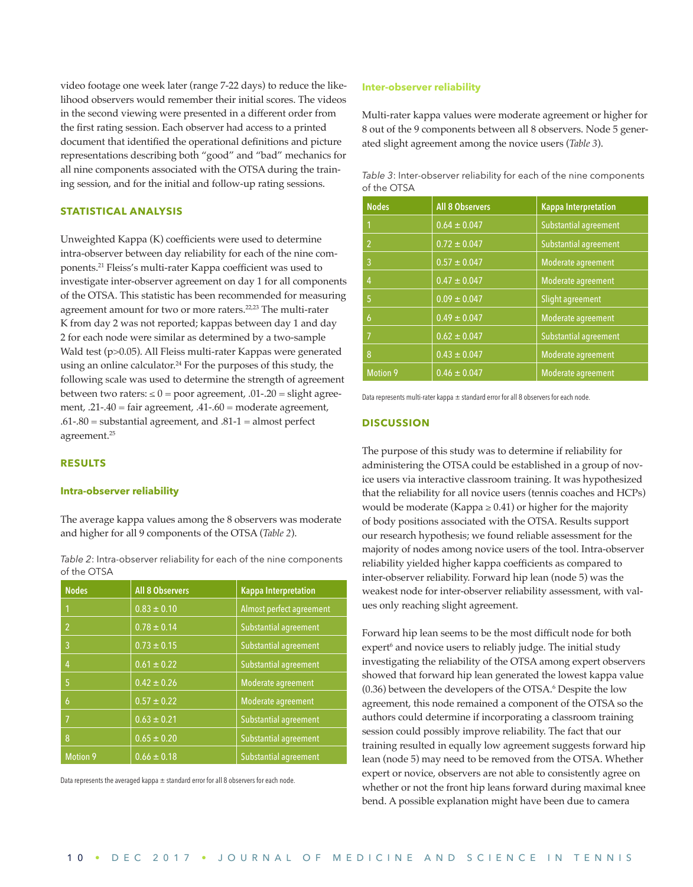video footage one week later (range 7-22 days) to reduce the likelihood observers would remember their initial scores. The videos in the second viewing were presented in a different order from the first rating session. Each observer had access to a printed document that identified the operational definitions and picture representations describing both "good" and "bad" mechanics for all nine components associated with the OTSA during the training session, and for the initial and follow-up rating sessions.

#### **STATISTICAL ANALYSIS**

Unweighted Kappa (K) coefficients were used to determine intra-observer between day reliability for each of the nine components.21 Fleiss's multi-rater Kappa coefficient was used to investigate inter-observer agreement on day 1 for all components of the OTSA. This statistic has been recommended for measuring agreement amount for two or more raters.22,23 The multi-rater K from day 2 was not reported; kappas between day 1 and day 2 for each node were similar as determined by a two-sample Wald test (p>0.05). All Fleiss multi-rater Kappas were generated using an online calculator.<sup>24</sup> For the purposes of this study, the following scale was used to determine the strength of agreement between two raters:  $\leq 0$  = poor agreement, .01-.20 = slight agreement, .21-.40 = fair agreement, .41-.60 = moderate agreement, .61-.80 = substantial agreement, and .81-1 = almost perfect agreement.25

#### **RESULTS**

#### **Intra-observer reliability**

The average kappa values among the 8 observers was moderate and higher for all 9 components of the OTSA (*Table 2*).

*Table 2*: Intra-observer reliability for each of the nine components of the OTSA

| <b>Nodes</b>   | <b>All 8 Observers</b> | <b>Kappa Interpretation</b>  |
|----------------|------------------------|------------------------------|
| 1              | $0.83 \pm 0.10$        | Almost perfect agreement     |
| $\overline{2}$ | $0.78 \pm 0.14$        | <b>Substantial agreement</b> |
| 3              | $0.73 \pm 0.15$        | Substantial agreement        |
| 4              | $0.61 \pm 0.22$        | <b>Substantial agreement</b> |
| 5              | $0.42 \pm 0.26$        | Moderate agreement           |
| 6              | $0.57 \pm 0.22$        | Moderate agreement           |
| $\overline{7}$ | $0.63 \pm 0.21$        | Substantial agreement        |
| 8              | $0.65 \pm 0.20$        | <b>Substantial agreement</b> |
| Motion 9       | $0.66 \pm 0.18$        | <b>Substantial agreement</b> |

Data represents the averaged kappa  $\pm$  standard error for all 8 observers for each node.

#### **Inter-observer reliability**

Multi-rater kappa values were moderate agreement or higher for 8 out of the 9 components between all 8 observers. Node 5 generated slight agreement among the novice users (*Table 3*).

| Table 3: Inter-observer reliability for each of the nine components |  |  |  |
|---------------------------------------------------------------------|--|--|--|
| of the OTSA                                                         |  |  |  |

| <b>Nodes</b>   | <b>All 8 Observers</b> | <b>Kappa Interpretation</b> |
|----------------|------------------------|-----------------------------|
|                | $0.64 \pm 0.047$       | Substantial agreement       |
| $\mathfrak{p}$ | $0.72 \pm 0.047$       | Substantial agreement       |
| 3              | $0.57 \pm 0.047$       | Moderate agreement          |
| 4              | $0.47 \pm 0.047$       | Moderate agreement          |
| 5              | $0.09 \pm 0.047$       | Slight agreement            |
| 6              | $0.49 \pm 0.047$       | Moderate agreement          |
| 17             | $0.62 \pm 0.047$       | Substantial agreement       |
| 8              | $0.43 \pm 0.047$       | Moderate agreement          |
| Motion 9       | $0.46 \pm 0.047$       | Moderate agreement          |

Data represents multi-rater kappa  $\pm$  standard error for all 8 observers for each node.

#### **DISCUSSION**

The purpose of this study was to determine if reliability for administering the OTSA could be established in a group of novice users via interactive classroom training. It was hypothesized that the reliability for all novice users (tennis coaches and HCPs) would be moderate (Kappa  $\geq$  0.41) or higher for the majority of body positions associated with the OTSA. Results support our research hypothesis; we found reliable assessment for the majority of nodes among novice users of the tool. Intra-observer reliability yielded higher kappa coefficients as compared to inter-observer reliability. Forward hip lean (node 5) was the weakest node for inter-observer reliability assessment, with values only reaching slight agreement.

Forward hip lean seems to be the most difficult node for both expert<sup>6</sup> and novice users to reliably judge. The initial study investigating the reliability of the OTSA among expert observers showed that forward hip lean generated the lowest kappa value  $(0.36)$  between the developers of the OTSA. $\degree$  Despite the low agreement, this node remained a component of the OTSA so the authors could determine if incorporating a classroom training session could possibly improve reliability. The fact that our training resulted in equally low agreement suggests forward hip lean (node 5) may need to be removed from the OTSA. Whether expert or novice, observers are not able to consistently agree on whether or not the front hip leans forward during maximal knee bend. A possible explanation might have been due to camera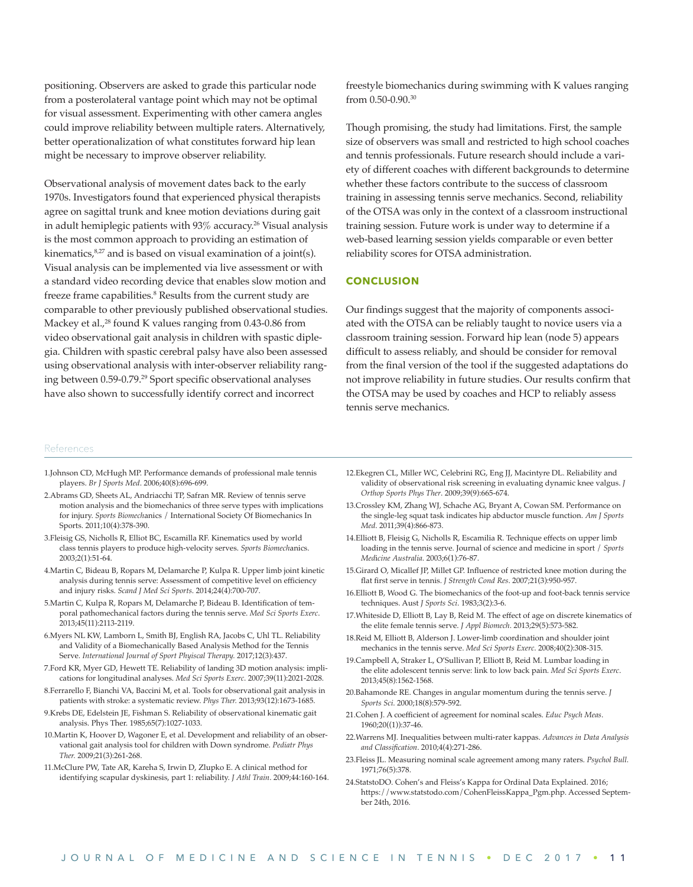positioning. Observers are asked to grade this particular node from a posterolateral vantage point which may not be optimal for visual assessment. Experimenting with other camera angles could improve reliability between multiple raters. Alternatively, better operationalization of what constitutes forward hip lean might be necessary to improve observer reliability.

Observational analysis of movement dates back to the early 1970s. Investigators found that experienced physical therapists agree on sagittal trunk and knee motion deviations during gait in adult hemiplegic patients with 93% accuracy.<sup>26</sup> Visual analysis is the most common approach to providing an estimation of kinematics, $8,27$  and is based on visual examination of a joint(s). Visual analysis can be implemented via live assessment or with a standard video recording device that enables slow motion and freeze frame capabilities.<sup>8</sup> Results from the current study are comparable to other previously published observational studies. Mackey et al.,<sup>28</sup> found K values ranging from 0.43-0.86 from video observational gait analysis in children with spastic diplegia. Children with spastic cerebral palsy have also been assessed using observational analysis with inter-observer reliability ranging between 0.59-0.79.29 Sport specific observational analyses have also shown to successfully identify correct and incorrect

freestyle biomechanics during swimming with K values ranging from 0.50-0.90.30

Though promising, the study had limitations. First, the sample size of observers was small and restricted to high school coaches and tennis professionals. Future research should include a variety of different coaches with different backgrounds to determine whether these factors contribute to the success of classroom training in assessing tennis serve mechanics. Second, reliability of the OTSA was only in the context of a classroom instructional training session. Future work is under way to determine if a web-based learning session yields comparable or even better reliability scores for OTSA administration.

#### **CONCLUSION**

Our findings suggest that the majority of components associated with the OTSA can be reliably taught to novice users via a classroom training session. Forward hip lean (node 5) appears difficult to assess reliably, and should be consider for removal from the final version of the tool if the suggested adaptations do not improve reliability in future studies. Our results confirm that the OTSA may be used by coaches and HCP to reliably assess tennis serve mechanics.

#### References

- 1.Johnson CD, McHugh MP. Performance demands of professional male tennis players. *Br J Sports Med*. 2006;40(8):696-699.
- 2.Abrams GD, Sheets AL, Andriacchi TP, Safran MR. Review of tennis serve motion analysis and the biomechanics of three serve types with implications for injury. *Sports Biomech*anics / International Society Of Biomechanics In Sports. 2011;10(4):378-390.
- 3.Fleisig GS, Nicholls R, Elliot BC, Escamilla RF. Kinematics used by world class tennis players to produce high-velocity serves. *Sports Biomech*anics. 2003;2(1):51-64.
- 4.Martin C, Bideau B, Ropars M, Delamarche P, Kulpa R. Upper limb joint kinetic analysis during tennis serve: Assessment of competitive level on efficiency and injury risks. *Scand J Med Sci Sports*. 2014;24(4):700-707.
- 5.Martin C, Kulpa R, Ropars M, Delamarche P, Bideau B. Identification of temporal pathomechanical factors during the tennis serve. *Med Sci Sports Exerc*. 2013;45(11):2113-2119.
- 6.Myers NL KW, Lamborn L, Smith BJ, English RA, Jacobs C, Uhl TL. Reliability and Validity of a Biomechanically Based Analysis Method for the Tennis Serve. *International Journal of Sport Phyiscal Therapy.* 2017;12(3):437.
- 7.Ford KR, Myer GD, Hewett TE. Reliability of landing 3D motion analysis: implications for longitudinal analyses. *Med Sci Sports Exerc*. 2007;39(11):2021-2028.
- 8.Ferrarello F, Bianchi VA, Baccini M, et al. Tools for observational gait analysis in patients with stroke: a systematic review. *Phys Ther.* 2013;93(12):1673-1685.
- 9.Krebs DE, Edelstein JE, Fishman S. Reliability of observational kinematic gait analysis. Phys Ther. 1985;65(7):1027-1033.
- 10.Martin K, Hoover D, Wagoner E, et al. Development and reliability of an observational gait analysis tool for children with Down syndrome. *Pediatr Phys Ther.* 2009;21(3):261-268.
- 11.McClure PW, Tate AR, Kareha S, Irwin D, Zlupko E. A clinical method for identifying scapular dyskinesis, part 1: reliability. *J Athl Train*. 2009;44:160-164.
- 12.Ekegren CL, Miller WC, Celebrini RG, Eng JJ, Macintyre DL. Reliability and validity of observational risk screening in evaluating dynamic knee valgus. *J Orthop Sports Phys Ther*. 2009;39(9):665-674.
- 13.Crossley KM, Zhang WJ, Schache AG, Bryant A, Cowan SM. Performance on the single-leg squat task indicates hip abductor muscle function. *Am J Sports Med*. 2011;39(4):866-873.
- 14.Elliott B, Fleisig G, Nicholls R, Escamilia R. Technique effects on upper limb loading in the tennis serve. Journal of science and medicine in sport / *Sports Med*i*cine Australia*. 2003;6(1):76-87.
- 15.Girard O, Micallef JP, Millet GP. Influence of restricted knee motion during the flat first serve in tennis. *J Strength Cond Res*. 2007;21(3):950-957.
- 16.Elliott B, Wood G. The biomechanics of the foot-up and foot-back tennis service techniques. Aust *J Sports Sci*. 1983;3(2):3-6.
- 17.Whiteside D, Elliott B, Lay B, Reid M. The effect of age on discrete kinematics of the elite female tennis serve. *J Appl Biomech*. 2013;29(5):573-582.
- 18.Reid M, Elliott B, Alderson J. Lower-limb coordination and shoulder joint mechanics in the tennis serve. *Med Sci Sports Exerc*. 2008;40(2):308-315.
- 19.Campbell A, Straker L, O'Sullivan P, Elliott B, Reid M. Lumbar loading in the elite adolescent tennis serve: link to low back pain. *Med Sci Sports Exerc*. 2013;45(8):1562-1568.
- 20.Bahamonde RE. Changes in angular momentum during the tennis serve. *J Sports Sci*. 2000;18(8):579-592.
- 21.Cohen J. A coefficient of agreement for nominal scales. *Educ Psych Meas*. 1960;20((1)):37-46.
- 22.Warrens MJ. Inequalities between multi-rater kappas. *Advances in Data Analysis and Classification*. 2010;4(4):271-286.
- 23.Fleiss JL. Measuring nominal scale agreement among many raters. *Psychol Bull.*  1971;76(5):378.
- 24.StatstoDO. Cohen's and Fleiss's Kappa for Ordinal Data Explained. 2016; https://www.statstodo.com/CohenFleissKappa\_Pgm.php. Accessed September 24th, 2016.